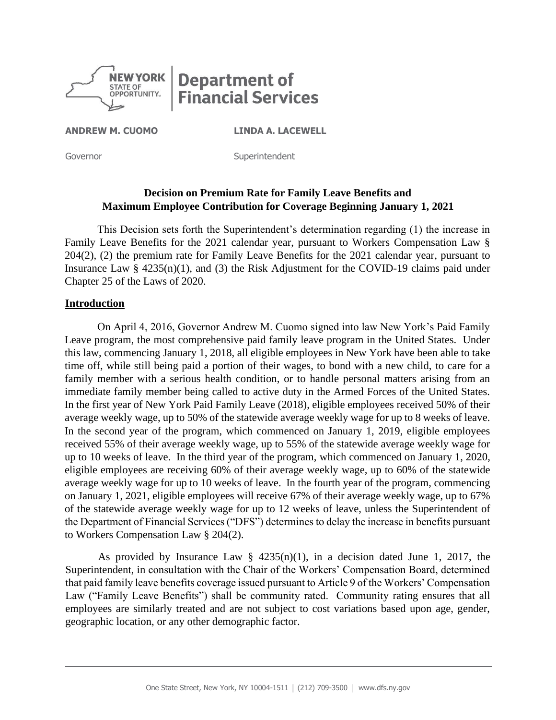

# **Department of Financial Services**

**ANDREW M. CUOMO LINDA A. LACEWELL** 

Governor **Superintendent** 

# **Decision on Premium Rate for Family Leave Benefits and Maximum Employee Contribution for Coverage Beginning January 1, 2021**

This Decision sets forth the Superintendent's determination regarding (1) the increase in Family Leave Benefits for the 2021 calendar year, pursuant to Workers Compensation Law § 204(2), (2) the premium rate for Family Leave Benefits for the 2021 calendar year, pursuant to Insurance Law  $\S$  4235(n)(1), and (3) the Risk Adjustment for the COVID-19 claims paid under Chapter 25 of the Laws of 2020.

#### **Introduction**

On April 4, 2016, Governor Andrew M. Cuomo signed into law New York's Paid Family Leave program, the most comprehensive paid family leave program in the United States. Under this law, commencing January 1, 2018, all eligible employees in New York have been able to take time off, while still being paid a portion of their wages, to bond with a new child, to care for a family member with a serious health condition, or to handle personal matters arising from an immediate family member being called to active duty in the Armed Forces of the United States. In the first year of New York Paid Family Leave (2018), eligible employees received 50% of their average weekly wage, up to 50% of the statewide average weekly wage for up to 8 weeks of leave. In the second year of the program, which commenced on January 1, 2019, eligible employees received 55% of their average weekly wage, up to 55% of the statewide average weekly wage for up to 10 weeks of leave. In the third year of the program, which commenced on January 1, 2020, eligible employees are receiving 60% of their average weekly wage, up to 60% of the statewide average weekly wage for up to 10 weeks of leave. In the fourth year of the program, commencing on January 1, 2021, eligible employees will receive 67% of their average weekly wage, up to 67% of the statewide average weekly wage for up to 12 weeks of leave, unless the Superintendent of the Department of Financial Services ("DFS") determines to delay the increase in benefits pursuant to Workers Compensation Law § 204(2).

As provided by Insurance Law  $\S$  4235(n)(1), in a decision dated June 1, 2017, the Superintendent, in consultation with the Chair of the Workers' Compensation Board, determined that paid family leave benefits coverage issued pursuant to Article 9 of the Workers' Compensation Law ("Family Leave Benefits") shall be community rated. Community rating ensures that all employees are similarly treated and are not subject to cost variations based upon age, gender, geographic location, or any other demographic factor.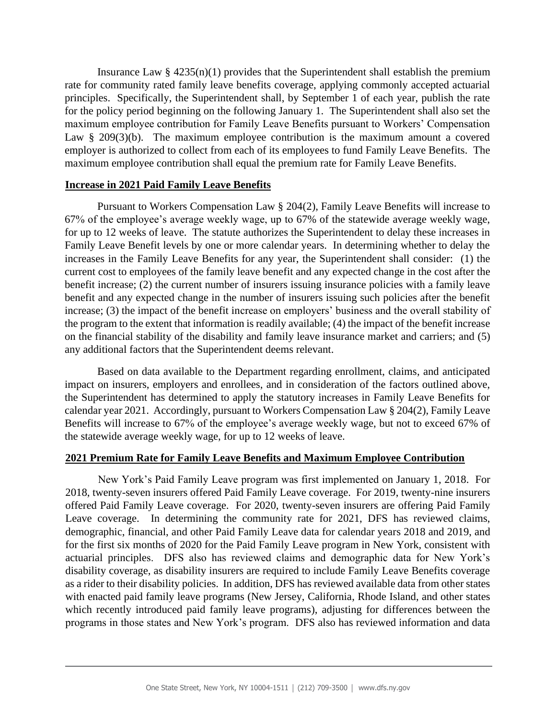Insurance Law  $\S$  4235(n)(1) provides that the Superintendent shall establish the premium rate for community rated family leave benefits coverage, applying commonly accepted actuarial principles. Specifically, the Superintendent shall, by September 1 of each year, publish the rate for the policy period beginning on the following January 1. The Superintendent shall also set the maximum employee contribution for Family Leave Benefits pursuant to Workers' Compensation Law  $\S$  209(3)(b). The maximum employee contribution is the maximum amount a covered employer is authorized to collect from each of its employees to fund Family Leave Benefits. The maximum employee contribution shall equal the premium rate for Family Leave Benefits.

## **Increase in 2021 Paid Family Leave Benefits**

Pursuant to Workers Compensation Law § 204(2), Family Leave Benefits will increase to 67% of the employee's average weekly wage, up to 67% of the statewide average weekly wage, for up to 12 weeks of leave. The statute authorizes the Superintendent to delay these increases in Family Leave Benefit levels by one or more calendar years. In determining whether to delay the increases in the Family Leave Benefits for any year, the Superintendent shall consider: (1) the current cost to employees of the family leave benefit and any expected change in the cost after the benefit increase; (2) the current number of insurers issuing insurance policies with a family leave benefit and any expected change in the number of insurers issuing such policies after the benefit increase; (3) the impact of the benefit increase on employers' business and the overall stability of the program to the extent that information is readily available; (4) the impact of the benefit increase on the financial stability of the disability and family leave insurance market and carriers; and (5) any additional factors that the Superintendent deems relevant.

Based on data available to the Department regarding enrollment, claims, and anticipated impact on insurers, employers and enrollees, and in consideration of the factors outlined above, the Superintendent has determined to apply the statutory increases in Family Leave Benefits for calendar year 2021. Accordingly, pursuant to Workers Compensation Law § 204(2), Family Leave Benefits will increase to 67% of the employee's average weekly wage, but not to exceed 67% of the statewide average weekly wage, for up to 12 weeks of leave.

## **2021 Premium Rate for Family Leave Benefits and Maximum Employee Contribution**

New York's Paid Family Leave program was first implemented on January 1, 2018. For 2018, twenty-seven insurers offered Paid Family Leave coverage. For 2019, twenty-nine insurers offered Paid Family Leave coverage. For 2020, twenty-seven insurers are offering Paid Family Leave coverage. In determining the community rate for 2021, DFS has reviewed claims, demographic, financial, and other Paid Family Leave data for calendar years 2018 and 2019, and for the first six months of 2020 for the Paid Family Leave program in New York, consistent with actuarial principles. DFS also has reviewed claims and demographic data for New York's disability coverage, as disability insurers are required to include Family Leave Benefits coverage as a rider to their disability policies. In addition, DFS has reviewed available data from other states with enacted paid family leave programs (New Jersey, California, Rhode Island, and other states which recently introduced paid family leave programs), adjusting for differences between the programs in those states and New York's program. DFS also has reviewed information and data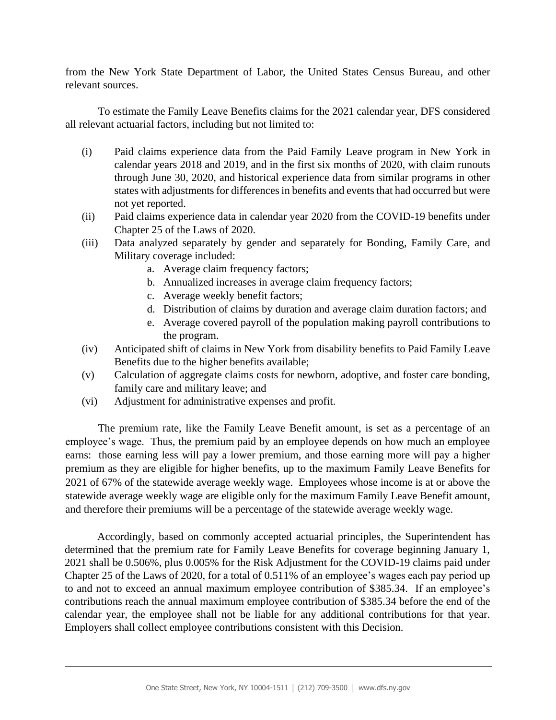from the New York State Department of Labor, the United States Census Bureau, and other relevant sources.

To estimate the Family Leave Benefits claims for the 2021 calendar year, DFS considered all relevant actuarial factors, including but not limited to:

- (i) Paid claims experience data from the Paid Family Leave program in New York in calendar years 2018 and 2019, and in the first six months of 2020, with claim runouts through June 30, 2020, and historical experience data from similar programs in other states with adjustments for differences in benefits and events that had occurred but were not yet reported.
- (ii) Paid claims experience data in calendar year 2020 from the COVID-19 benefits under Chapter 25 of the Laws of 2020.
- (iii) Data analyzed separately by gender and separately for Bonding, Family Care, and Military coverage included:
	- a. Average claim frequency factors;
	- b. Annualized increases in average claim frequency factors;
	- c. Average weekly benefit factors;
	- d. Distribution of claims by duration and average claim duration factors; and
	- e. Average covered payroll of the population making payroll contributions to the program.
- (iv) Anticipated shift of claims in New York from disability benefits to Paid Family Leave Benefits due to the higher benefits available;
- (v) Calculation of aggregate claims costs for newborn, adoptive, and foster care bonding, family care and military leave; and
- (vi) Adjustment for administrative expenses and profit.

The premium rate, like the Family Leave Benefit amount, is set as a percentage of an employee's wage. Thus, the premium paid by an employee depends on how much an employee earns: those earning less will pay a lower premium, and those earning more will pay a higher premium as they are eligible for higher benefits, up to the maximum Family Leave Benefits for 2021 of 67% of the statewide average weekly wage. Employees whose income is at or above the statewide average weekly wage are eligible only for the maximum Family Leave Benefit amount, and therefore their premiums will be a percentage of the statewide average weekly wage.

Accordingly, based on commonly accepted actuarial principles, the Superintendent has determined that the premium rate for Family Leave Benefits for coverage beginning January 1, 2021 shall be 0.506%, plus 0.005% for the Risk Adjustment for the COVID-19 claims paid under Chapter 25 of the Laws of 2020, for a total of 0.511% of an employee's wages each pay period up to and not to exceed an annual maximum employee contribution of \$385.34. If an employee's contributions reach the annual maximum employee contribution of \$385.34 before the end of the calendar year, the employee shall not be liable for any additional contributions for that year. Employers shall collect employee contributions consistent with this Decision.